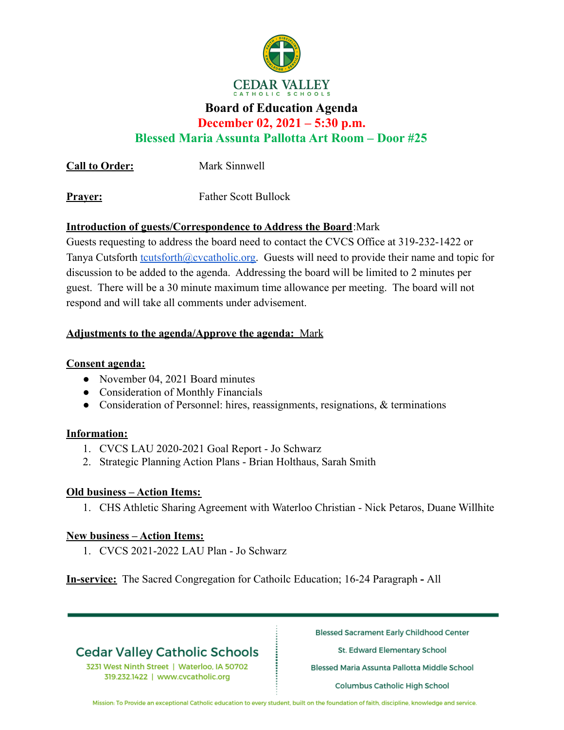

## **Board of Education Agenda**

**December 02, 2021 – 5:30 p.m.**

**Blessed Maria Assunta Pallotta Art Room – Door #25**

**Call to Order:** Mark Sinnwell

**Prayer:** Father Scott Bullock

### **Introduction of guests/Correspondence to Address the Board**:Mark

Guests requesting to address the board need to contact the CVCS Office at 319-232-1422 or Tanya Cutsforth [tcutsforth@cvcatholic.org.](mailto:tcutsforth@cvcatholic.org) Guests will need to provide their name and topic for discussion to be added to the agenda. Addressing the board will be limited to 2 minutes per guest. There will be a 30 minute maximum time allowance per meeting. The board will not respond and will take all comments under advisement.

### **Adjustments to the agenda/Approve the agenda:** Mark

### **Consent agenda:**

- November 04, 2021 Board minutes
- Consideration of Monthly Financials
- Consideration of Personnel: hires, reassignments, resignations, & terminations

#### **Information:**

- 1. CVCS LAU 2020-2021 Goal Report Jo Schwarz
- 2. Strategic Planning Action Plans Brian Holthaus, Sarah Smith

## **Old business – Action Items:**

1. CHS Athletic Sharing Agreement with Waterloo Christian - Nick Petaros, Duane Willhite

## **New business – Action Items:**

1. CVCS 2021-2022 LAU Plan - Jo Schwarz

**In-service:** The Sacred Congregation for Cathoilc Education; 16-24 Paragraph **-** All

# **Cedar Valley Catholic Schools**

3231 West Ninth Street | Waterloo, IA 50702 319.232.1422 | www.cvcatholic.org

**Blessed Sacrament Early Childhood Center** 

St. Edward Elementary School

Blessed Maria Assunta Pallotta Middle School

**Columbus Catholic High School** 

Mission: To Provide an exceptional Catholic education to every student, built on the foundation of faith, discipline, knowledge and service.